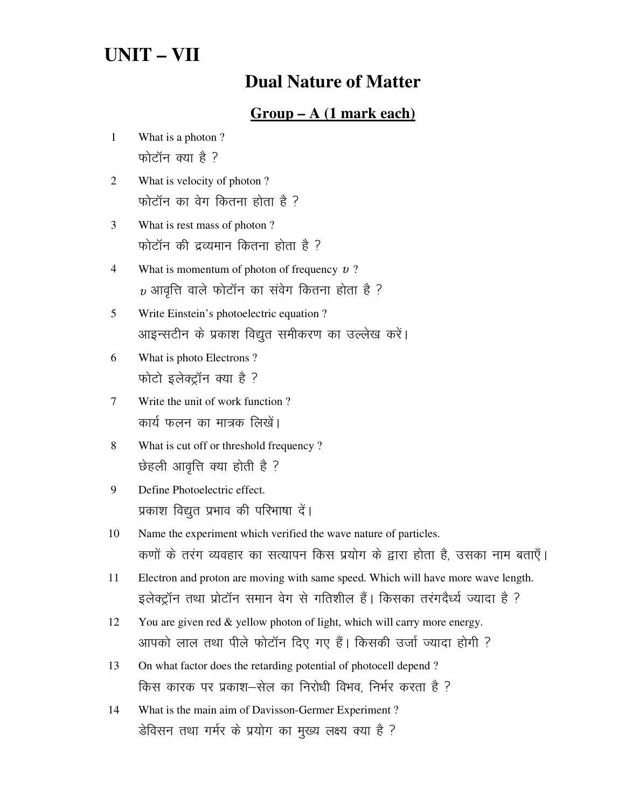# **UNIT – VII**

# **Dual Nature of Matter**

## **Group – A (1 mark each)**

- 1 What is a photon ? फोटॉन क्या है ?
- 2 What is velocity of photon ? फोटॉन का वेग कितना होता है ?
- 3 What is rest mass of photon ? फोटॉन की द्रव्यमान कितना होता है ?
- 4 What is momentum of photon of frequency υ ?  $\nu$  आवृत्ति वाले फोटॉन का संवेग कितना होता है ?
- 5 Write Einstein's photoelectric equation ? आइन्सटीन के प्रकाश विद्युत समीकरण का उल्लेख करें।
- 6 What is photo Electrons ? फोटो इलेक्ट्रॉन क्या है ?
- 7 Write the unit of work function ? कार्य फलन का मात्रक लिखें।
- 8 What is cut off or threshold frequency ? छेहली आवृत्ति क्या होती है ?
- 9 Define Photoelectric effect. प्रकाश विद्युत प्रभाव की परिभाषा दें।
- 10 Name the experiment which verified the wave nature of particles. कणों के तरंग व्यवहार का सत्यापन किस प्रयोग के द्वारा होता है, उसका नाम बताएँ।
- 11 Electron and proton are moving with same speed. Which will have more wave length. इलेक्ट्रॉन तथा प्रोटॉन समान वेग से गतिशील हैं। किसका तरंगदैर्ध्य ज्यादा है ?
- 12 You are given red & yellow photon of light, which will carry more energy. आपको लाल तथा पीले फोटॉन दिए गए हैं। किसकी उर्जा ज्यादा होगी ?
- 13 On what factor does the retarding potential of photocell depend ? किस कारक पर प्रकाश-सेल का निरोधी विभव, निर्भर करता है ?
- 14 What is the main aim of Davisson-Germer Experiment ? डेविसन तथा गर्मर के प्रयोग का मुख्य लक्ष्य क्या है ?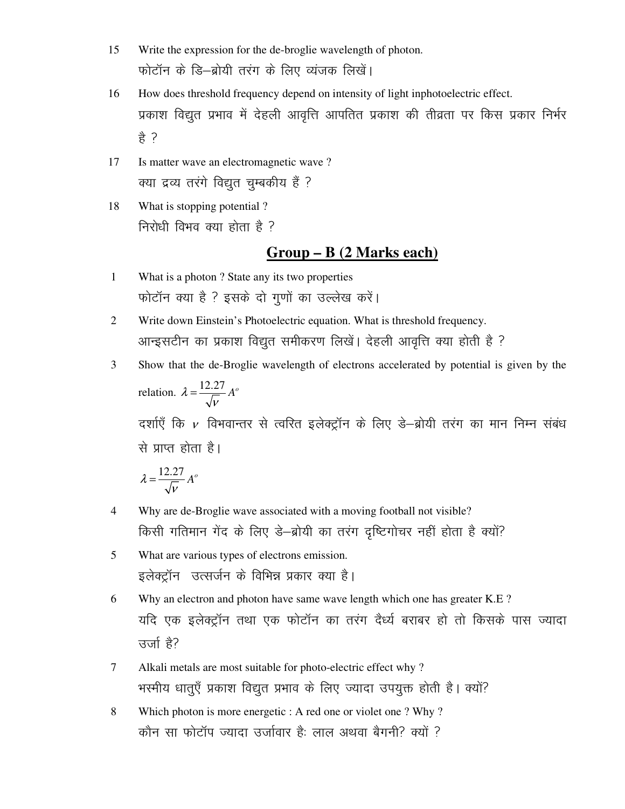- 15 Write the expression for the de-broglie wavelength of photon. फोटॉन के डि-ब्रोयी तरंग के लिए व्यंजक लिखें।
- 16 How does threshold frequency depend on intensity of light inphotoelectric effect. प्रकाश विद्युत प्रभाव में देहली आवृत्ति आपतित प्रकाश की तीव्रता पर किस प्रकार निर्भर  $\frac{a}{b}$  ?
- 17 Is matter wave an electromagnetic wave ? क्या द्रव्य तरंगे विद्युत चुम्बकीय हैं ?
- 18 What is stopping potential ? निरोधी विभव क्या होता है ?

### **Group – B (2 Marks each)**

- 1 What is a photon ? State any its two properties फोटॉन क्या है ? इसके दो गुणों का उल्लेख करें।
- 2 Write down Einstein's Photoelectric equation. What is threshold frequency. आन्इसटीन का प्रकाश विद्युत समीकरण लिखें। देहली आवृत्ति क्या होती है ?
- 3 Show that the de-Broglie wavelength of electrons accelerated by potential is given by the relation.  $\lambda = \frac{12.27}{\sqrt{2}} A^{\circ}$  $=\frac{12.27}{\sqrt{V}}A^{\circ}$ दर्शाएँ कि  $\nu$  विभवान्तर से त्वरित इलेक्ट्रॉन के लिए डे–ब्रोयी तरंग का मान निम्न संबंध से प्राप्त होता है।

$$
\lambda = \frac{12.27}{\sqrt{V}} A^o
$$

- 4 Why are de-Broglie wave associated with a moving football not visible? किसी गतिमान गेंद के लिए डे-ब्रोयी का तरंग दृष्टिगोचर नहीं होता है क्यों?
- 5 What are various types of electrons emission. इलेक्ट्रॉन) उत्सर्जन के विभिन्न प्रकार क्या है।
- 6 Why an electron and photon have same wave length which one has greater K.E ? यदि एक इलेक्ट्रॉन तथा एक फोटॉन का तरंग दैर्ध्य बराबर हो तो किसके पास ज्यादा उर्जा है?
- 7 Alkali metals are most suitable for photo-electric effect why ? भरमीय धातुएँ प्रकाश विद्युत प्रभाव के लिए ज्यादा उपयुक्त होती है। क्यों?
- 8 Which photon is more energetic : A red one or violet one ? Why ? कौन सा फोटॉप ज्यादा उर्जावार है: लाल अथवा बैगनी? क्यों ?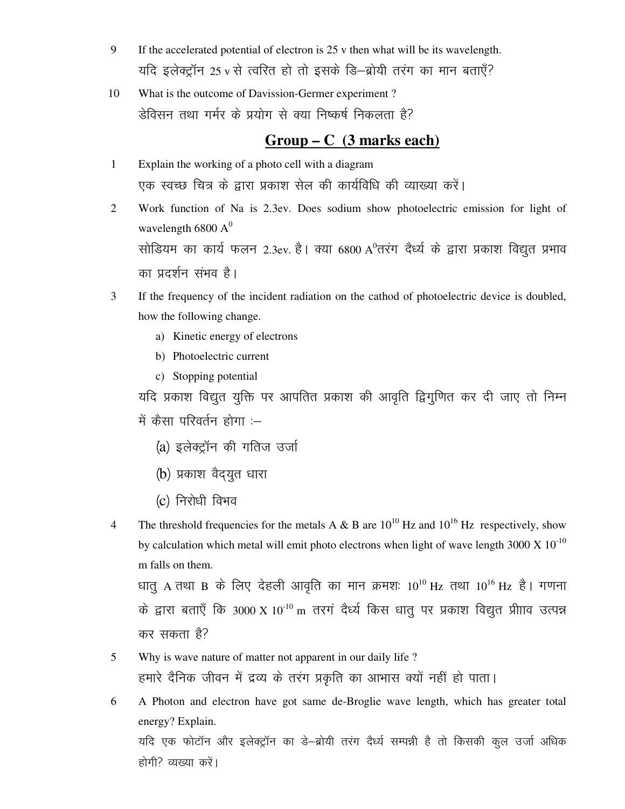- 9 If the accelerated potential of electron is 25 v then what will be its wavelength. यदि इलेक्ट्रॉन 25 v से त्वरित हो तो इसके डि-ब्रोयी तरंग का मान बताएँ?
- What is the outcome of Davission-Germer experiment? 10 डेविसन तथा गर्मर के प्रयोग से क्या निष्कर्ष निकलता है?

#### $Group - C$  (3 marks each)

- $\mathbf{1}$ Explain the working of a photo cell with a diagram एक स्वच्छ चित्र के द्वारा प्रकाश सेल की कार्यविधि की व्याख्या करें।
- Work function of Na is 2.3ev. Does sodium show photoelectric emission for light of  $\overline{2}$ wavelength 6800  $A^0$ सोडियम का कार्य फलन 2.3ev. है। क्या 6800 A°तरंग दैर्ध्य के द्वारा प्रकाश विद्युत प्रभाव का प्रदर्शन संभव है।
- 3 If the frequency of the incident radiation on the cathod of photoelectric device is doubled, how the following change.
	- a) Kinetic energy of electrons
	- b) Photoelectric current
	- c) Stopping potential

यदि प्रकाश विद्युत युक्ति पर आपतित प्रकाश की आवृति द्विगुणित कर दी जाए तो निम्न में कैसा परिवर्तन होगा $-$ 

- (a) इलेक्टॉन की गतिज उर्जा
- (b) प्रकाश वैद्युत धारा
- (c) निरोधी विभव
- The threshold frequencies for the metals A & B are  $10^{10}$  Hz and  $10^{16}$  Hz respectively, show  $\overline{4}$ by calculation which metal will emit photo electrons when light of wave length 3000 X  $10^{-10}$ m falls on them.

धातु A तथा B के लिए देहली आवृति का मान क्रमशः  $10^{10}$  Hz तथा  $10^{16}$  Hz है। गणना के द्वारा बताएँ कि 3000 X 10<sup>-10</sup> m तरगं दैर्ध्य किस धातू पर प्रकाश विद्युत प्रीााव उत्पन्न कर सकता है?

- $5<sup>5</sup>$ Why is wave nature of matter not apparent in our daily life? हमारे दैनिक जीवन में द्रव्य के तरंग प्रकृति का आभास क्यों नहीं हो पाता।
- 6 A Photon and electron have got same de-Broglie wave length, which has greater total energy? Explain. यदि एक फोटॉन और इलेक्ट्रॉन का डे–ब्रोयी तरंग दैर्ध्य सम्पन्नी है तो किसकी कुल उर्जा अधिक होगी? व्यख्या करें।